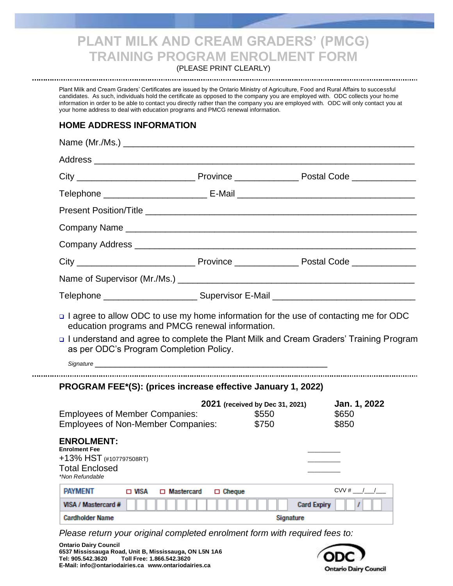# **PLANT MILK AND CREAM GRADERS' (PMCG) TRAINING PROGRAM ENROLMENT FORM**

(PLEASE PRINT CLEARLY) 

Plant Milk and Cream Graders' Certificates are issued by the Ontario Ministry of Agriculture, Food and Rural Affairs to successful candidates. As such, individuals hold the certificate as opposed to the company you are employed with. ODC collects your home information in order to be able to contact you directly rather than the company you are employed with. ODC will only contact you at your home address to deal with education programs and PMCG renewal information.

## **HOME ADDRESS INFORMATION**

| as per ODC's Program Completion Policy.                                                                                                                                                                                                    | o I agree to allow ODC to use my home information for the use of contacting me for ODC<br>education programs and PMCG renewal information.<br>□ I understand and agree to complete the Plant Milk and Cream Graders' Training Program |                                 |                     |
|--------------------------------------------------------------------------------------------------------------------------------------------------------------------------------------------------------------------------------------------|---------------------------------------------------------------------------------------------------------------------------------------------------------------------------------------------------------------------------------------|---------------------------------|---------------------|
|                                                                                                                                                                                                                                            |                                                                                                                                                                                                                                       |                                 |                     |
|                                                                                                                                                                                                                                            | PROGRAM FEE*(S): (prices increase effective January 1, 2022)                                                                                                                                                                          |                                 |                     |
|                                                                                                                                                                                                                                            |                                                                                                                                                                                                                                       | 2021 (received by Dec 31, 2021) | Jan. 1, 2022        |
|                                                                                                                                                                                                                                            |                                                                                                                                                                                                                                       | \$550<br>\$750                  | \$650<br>\$850      |
|                                                                                                                                                                                                                                            |                                                                                                                                                                                                                                       |                                 |                     |
|                                                                                                                                                                                                                                            |                                                                                                                                                                                                                                       |                                 |                     |
|                                                                                                                                                                                                                                            |                                                                                                                                                                                                                                       |                                 |                     |
| <b>Employees of Member Companies:</b><br><b>Employees of Non-Member Companies:</b><br><b>ENROLMENT:</b><br><b>Enrolment Fee</b><br>+13% HST (#107797508RT)<br><b>Total Enclosed</b><br>*Non Refundable<br><b>PAYMENT</b><br>$\square$ Visa | □ Mastercard<br>$\Box$ Cheque                                                                                                                                                                                                         |                                 | $CVV # _  / _  / _$ |

*Please return your original completed enrolment form with required fees to:*